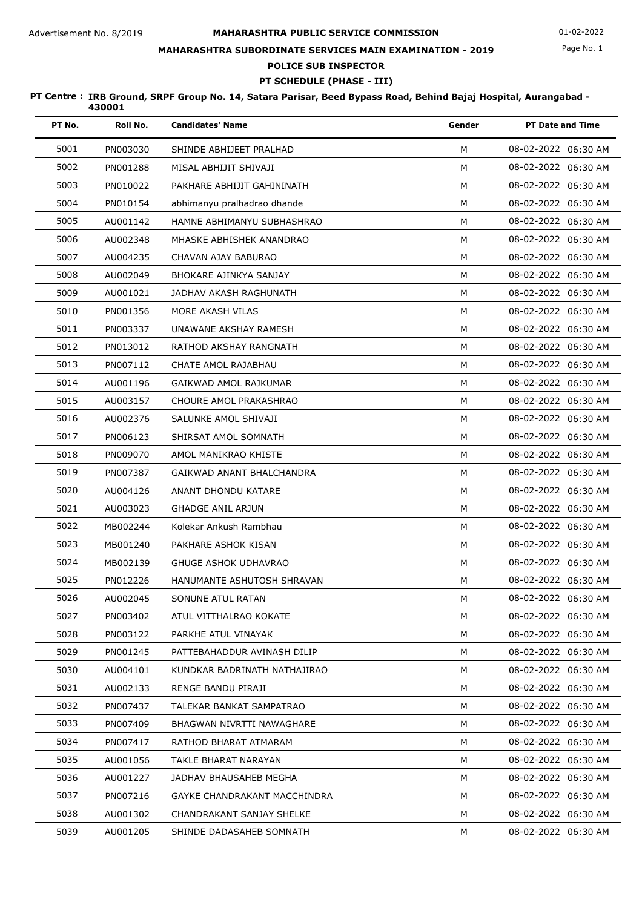# **MAHARASHTRA PUBLIC SERVICE COMMISSION** Advertisement No. 8/2019 01-02-2022 **MAHARASHTRA SUBORDINATE SERVICES MAIN EXAMINATION - 2019**

# Page No. 1

# **POLICE SUB INSPECTOR**

# **PT SCHEDULE (PHASE - III)**

| PT No. | Roll No. | <b>Candidates' Name</b>      | Gender | <b>PT Date and Time</b> |
|--------|----------|------------------------------|--------|-------------------------|
| 5001   | PN003030 | SHINDE ABHIJEET PRALHAD      | М      | 08-02-2022 06:30 AM     |
| 5002   | PN001288 | MISAL ABHIJIT SHIVAJI        | М      | 08-02-2022 06:30 AM     |
| 5003   | PN010022 | PAKHARE ABHIJIT GAHININATH   | M      | 08-02-2022 06:30 AM     |
| 5004   | PN010154 | abhimanyu pralhadrao dhande  | M      | 08-02-2022 06:30 AM     |
| 5005   | AU001142 | HAMNE ABHIMANYU SUBHASHRAO   | M      | 08-02-2022 06:30 AM     |
| 5006   | AU002348 | MHASKE ABHISHEK ANANDRAO     | M      | 08-02-2022 06:30 AM     |
| 5007   | AU004235 | CHAVAN AJAY BABURAO          | M      | 08-02-2022 06:30 AM     |
| 5008   | AU002049 | BHOKARE AJINKYA SANJAY       | M      | 08-02-2022 06:30 AM     |
| 5009   | AU001021 | JADHAV AKASH RAGHUNATH       | M      | 08-02-2022 06:30 AM     |
| 5010   | PN001356 | MORE AKASH VILAS             | M      | 08-02-2022 06:30 AM     |
| 5011   | PN003337 | UNAWANE AKSHAY RAMESH        | M      | 08-02-2022 06:30 AM     |
| 5012   | PN013012 | RATHOD AKSHAY RANGNATH       | M      | 08-02-2022 06:30 AM     |
| 5013   | PN007112 | CHATE AMOL RAJABHAU          | M      | 08-02-2022 06:30 AM     |
| 5014   | AU001196 | GAIKWAD AMOL RAJKUMAR        | M      | 08-02-2022 06:30 AM     |
| 5015   | AU003157 | CHOURE AMOL PRAKASHRAO       | M      | 08-02-2022 06:30 AM     |
| 5016   | AU002376 | SALUNKE AMOL SHIVAJI         | M      | 08-02-2022 06:30 AM     |
| 5017   | PN006123 | SHIRSAT AMOL SOMNATH         | M      | 08-02-2022 06:30 AM     |
| 5018   | PN009070 | AMOL MANIKRAO KHISTE         | M      | 08-02-2022 06:30 AM     |
| 5019   | PN007387 | GAIKWAD ANANT BHALCHANDRA    | M      | 08-02-2022 06:30 AM     |
| 5020   | AU004126 | ANANT DHONDU KATARE          | M      | 08-02-2022 06:30 AM     |
| 5021   | AU003023 | <b>GHADGE ANIL ARJUN</b>     | M      | 08-02-2022 06:30 AM     |
| 5022   | MB002244 | Kolekar Ankush Rambhau       | M      | 08-02-2022 06:30 AM     |
| 5023   | MB001240 | PAKHARE ASHOK KISAN          | M      | 08-02-2022 06:30 AM     |
| 5024   | MB002139 | <b>GHUGE ASHOK UDHAVRAO</b>  | M      | 08-02-2022 06:30 AM     |
| 5025   | PN012226 | HANUMANTE ASHUTOSH SHRAVAN   | M      | 08-02-2022 06:30 AM     |
| 5026   | AU002045 | SONUNE ATUL RATAN            | М      | 08-02-2022 06:30 AM     |
| 5027   | PN003402 | ATUL VITTHALRAO KOKATE       | м      | 08-02-2022 06:30 AM     |
| 5028   | PN003122 | PARKHE ATUL VINAYAK          | М      | 08-02-2022 06:30 AM     |
| 5029   | PN001245 | PATTEBAHADDUR AVINASH DILIP  | м      | 08-02-2022 06:30 AM     |
| 5030   | AU004101 | KUNDKAR BADRINATH NATHAJIRAO | м      | 08-02-2022 06:30 AM     |
| 5031   | AU002133 | RENGE BANDU PIRAJI           | М      | 08-02-2022 06:30 AM     |
| 5032   | PN007437 | TALEKAR BANKAT SAMPATRAO     | M      | 08-02-2022 06:30 AM     |
| 5033   | PN007409 | BHAGWAN NIVRTTI NAWAGHARE    | М      | 08-02-2022 06:30 AM     |
| 5034   | PN007417 | RATHOD BHARAT ATMARAM        | M      | 08-02-2022 06:30 AM     |
| 5035   | AU001056 | TAKLE BHARAT NARAYAN         | м      | 08-02-2022 06:30 AM     |
| 5036   | AU001227 | JADHAV BHAUSAHEB MEGHA       | м      | 08-02-2022 06:30 AM     |
| 5037   | PN007216 | GAYKE CHANDRAKANT MACCHINDRA | м      | 08-02-2022 06:30 AM     |
| 5038   | AU001302 | CHANDRAKANT SANJAY SHELKE    | м      | 08-02-2022 06:30 AM     |
| 5039   | AU001205 | SHINDE DADASAHEB SOMNATH     | М      | 08-02-2022 06:30 AM     |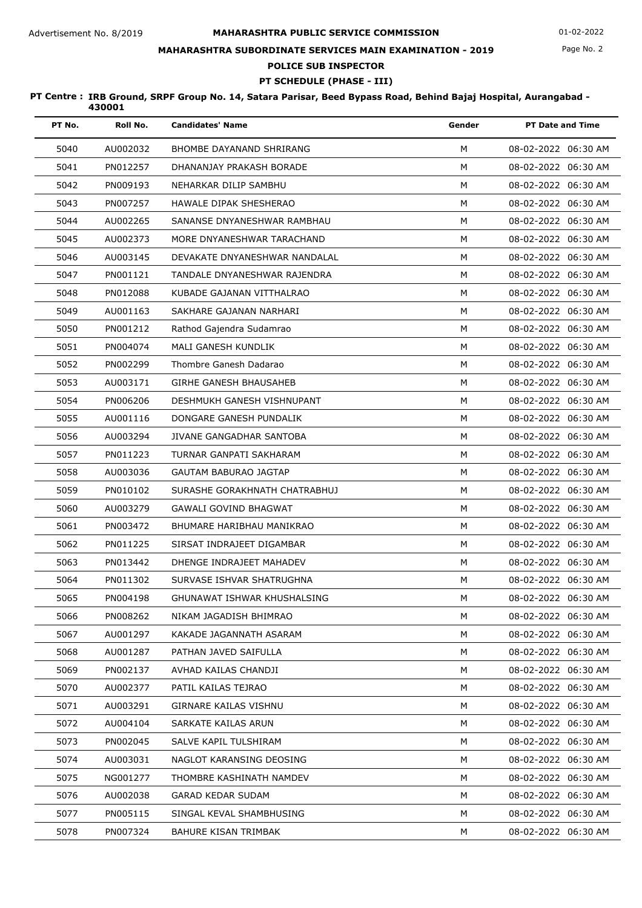## **MAHARASHTRA SUBORDINATE SERVICES MAIN EXAMINATION - 2019**

**POLICE SUB INSPECTOR**

# **PT SCHEDULE (PHASE - III)**

| PT No. | Roll No. | <b>Candidates' Name</b>         | Gender | <b>PT Date and Time</b> |
|--------|----------|---------------------------------|--------|-------------------------|
| 5040   | AU002032 | <b>BHOMBE DAYANAND SHRIRANG</b> | M      | 08-02-2022 06:30 AM     |
| 5041   | PN012257 | DHANANJAY PRAKASH BORADE        | M      | 08-02-2022 06:30 AM     |
| 5042   | PN009193 | NEHARKAR DILIP SAMBHU           | M      | 08-02-2022 06:30 AM     |
| 5043   | PN007257 | HAWALE DIPAK SHESHERAO          | M      | 08-02-2022 06:30 AM     |
| 5044   | AU002265 | SANANSE DNYANESHWAR RAMBHAU     | M      | 08-02-2022 06:30 AM     |
| 5045   | AU002373 | MORE DNYANESHWAR TARACHAND      | M      | 08-02-2022 06:30 AM     |
| 5046   | AU003145 | DEVAKATE DNYANESHWAR NANDALAL   | M      | 08-02-2022 06:30 AM     |
| 5047   | PN001121 | TANDALE DNYANESHWAR RAJENDRA    | M      | 08-02-2022 06:30 AM     |
| 5048   | PN012088 | KUBADE GAJANAN VITTHALRAO       | M      | 08-02-2022 06:30 AM     |
| 5049   | AU001163 | SAKHARE GAJANAN NARHARI         | M      | 08-02-2022 06:30 AM     |
| 5050   | PN001212 | Rathod Gajendra Sudamrao        | M      | 08-02-2022 06:30 AM     |
| 5051   | PN004074 | MALI GANESH KUNDLIK             | M      | 08-02-2022 06:30 AM     |
| 5052   | PN002299 | Thombre Ganesh Dadarao          | M      | 08-02-2022 06:30 AM     |
| 5053   | AU003171 | <b>GIRHE GANESH BHAUSAHEB</b>   | M      | 08-02-2022 06:30 AM     |
| 5054   | PN006206 | DESHMUKH GANESH VISHNUPANT      | M      | 08-02-2022 06:30 AM     |
| 5055   | AU001116 | DONGARE GANESH PUNDALIK         | M      | 08-02-2022 06:30 AM     |
| 5056   | AU003294 | JIVANE GANGADHAR SANTOBA        | M      | 08-02-2022 06:30 AM     |
| 5057   | PN011223 | TURNAR GANPATI SAKHARAM         | M      | 08-02-2022 06:30 AM     |
| 5058   | AU003036 | GAUTAM BABURAO JAGTAP           | M      | 08-02-2022 06:30 AM     |
| 5059   | PN010102 | SURASHE GORAKHNATH CHATRABHUJ   | M      | 08-02-2022 06:30 AM     |
| 5060   | AU003279 | GAWALI GOVIND BHAGWAT           | M      | 08-02-2022 06:30 AM     |
| 5061   | PN003472 | BHUMARE HARIBHAU MANIKRAO       | M      | 08-02-2022 06:30 AM     |
| 5062   | PN011225 | SIRSAT INDRAJEET DIGAMBAR       | M      | 08-02-2022 06:30 AM     |
| 5063   | PN013442 | DHENGE INDRAJEET MAHADEV        | м      | 08-02-2022 06:30 AM     |
| 5064   | PN011302 | SURVASE ISHVAR SHATRUGHNA       | M      | 08-02-2022 06:30 AM     |
| 5065   | PN004198 | GHUNAWAT ISHWAR KHUSHALSING     | м      | 08-02-2022 06:30 AM     |
| 5066   | PN008262 | NIKAM JAGADISH BHIMRAO          | м      | 08-02-2022 06:30 AM     |
| 5067   | AU001297 | KAKADE JAGANNATH ASARAM         | M      | 08-02-2022 06:30 AM     |
| 5068   | AU001287 | PATHAN JAVED SAIFULLA           | M      | 08-02-2022 06:30 AM     |
| 5069   | PN002137 | AVHAD KAILAS CHANDJI            | м      | 08-02-2022 06:30 AM     |
| 5070   | AU002377 | PATIL KAILAS TEJRAO             | м      | 08-02-2022 06:30 AM     |
| 5071   | AU003291 | GIRNARE KAILAS VISHNU           | м      | 08-02-2022 06:30 AM     |
| 5072   | AU004104 | SARKATE KAILAS ARUN             | м      | 08-02-2022 06:30 AM     |
| 5073   | PN002045 | SALVE KAPIL TULSHIRAM           | M      | 08-02-2022 06:30 AM     |
| 5074   | AU003031 | NAGLOT KARANSING DEOSING        | м      | 08-02-2022 06:30 AM     |
| 5075   | NG001277 | THOMBRE KASHINATH NAMDEV        | M      | 08-02-2022 06:30 AM     |
| 5076   | AU002038 | <b>GARAD KEDAR SUDAM</b>        | м      | 08-02-2022 06:30 AM     |
| 5077   | PN005115 | SINGAL KEVAL SHAMBHUSING        | M      | 08-02-2022 06:30 AM     |
| 5078   | PN007324 | BAHURE KISAN TRIMBAK            | М      | 08-02-2022 06:30 AM     |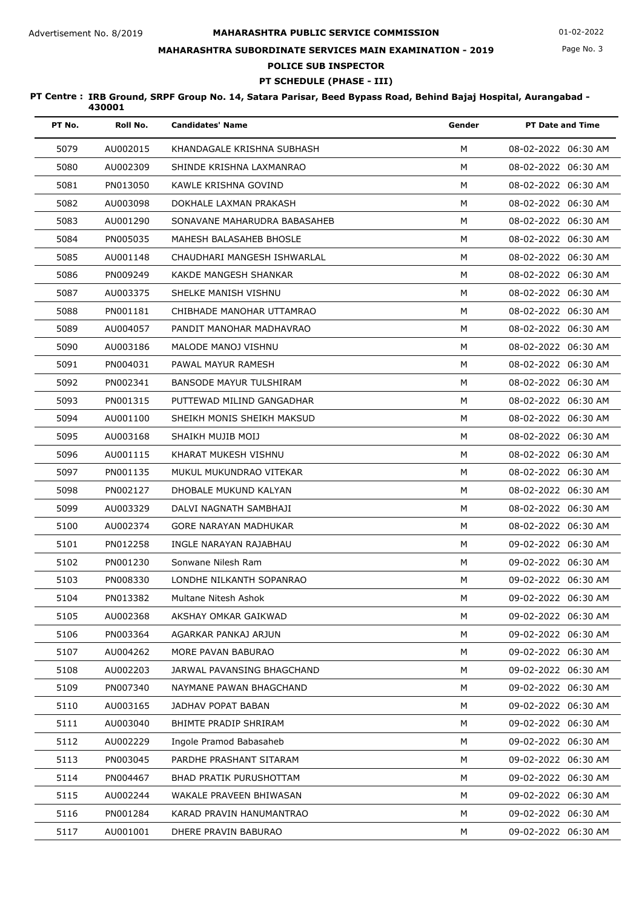## **MAHARASHTRA SUBORDINATE SERVICES MAIN EXAMINATION - 2019**

**POLICE SUB INSPECTOR**

# **PT SCHEDULE (PHASE - III)**

| PT No. | Roll No. | <b>Candidates' Name</b>      | Gender | <b>PT Date and Time</b> |
|--------|----------|------------------------------|--------|-------------------------|
| 5079   | AU002015 | KHANDAGALE KRISHNA SUBHASH   | М      | 08-02-2022 06:30 AM     |
| 5080   | AU002309 | SHINDE KRISHNA LAXMANRAO     | М      | 08-02-2022 06:30 AM     |
| 5081   | PN013050 | KAWLE KRISHNA GOVIND         | M      | 08-02-2022 06:30 AM     |
| 5082   | AU003098 | DOKHALE LAXMAN PRAKASH       | M      | 08-02-2022 06:30 AM     |
| 5083   | AU001290 | SONAVANE MAHARUDRA BABASAHEB | M      | 08-02-2022 06:30 AM     |
| 5084   | PN005035 | MAHESH BALASAHEB BHOSLE      | M      | 08-02-2022 06:30 AM     |
| 5085   | AU001148 | CHAUDHARI MANGESH ISHWARLAL  | M      | 08-02-2022 06:30 AM     |
| 5086   | PN009249 | KAKDE MANGESH SHANKAR        | M      | 08-02-2022 06:30 AM     |
| 5087   | AU003375 | SHELKE MANISH VISHNU         | M      | 08-02-2022 06:30 AM     |
| 5088   | PN001181 | CHIBHADE MANOHAR UTTAMRAO    | M      | 08-02-2022 06:30 AM     |
| 5089   | AU004057 | PANDIT MANOHAR MADHAVRAO     | М      | 08-02-2022 06:30 AM     |
| 5090   | AU003186 | MALODE MANOJ VISHNU          | M      | 08-02-2022 06:30 AM     |
| 5091   | PN004031 | PAWAL MAYUR RAMESH           | M      | 08-02-2022 06:30 AM     |
| 5092   | PN002341 | BANSODE MAYUR TULSHIRAM      | М      | 08-02-2022 06:30 AM     |
| 5093   | PN001315 | PUTTEWAD MILIND GANGADHAR    | M      | 08-02-2022 06:30 AM     |
| 5094   | AU001100 | SHEIKH MONIS SHEIKH MAKSUD   | М      | 08-02-2022 06:30 AM     |
| 5095   | AU003168 | SHAIKH MUJIB MOIJ            | M      | 08-02-2022 06:30 AM     |
| 5096   | AU001115 | KHARAT MUKESH VISHNU         | M      | 08-02-2022 06:30 AM     |
| 5097   | PN001135 | MUKUL MUKUNDRAO VITEKAR      | М      | 08-02-2022 06:30 AM     |
| 5098   | PN002127 | DHOBALE MUKUND KALYAN        | M      | 08-02-2022 06:30 AM     |
| 5099   | AU003329 | DALVI NAGNATH SAMBHAJI       | M      | 08-02-2022 06:30 AM     |
| 5100   | AU002374 | GORE NARAYAN MADHUKAR        | M      | 08-02-2022 06:30 AM     |
| 5101   | PN012258 | INGLE NARAYAN RAJABHAU       | М      | 09-02-2022 06:30 AM     |
| 5102   | PN001230 | Sonwane Nilesh Ram           | M      | 09-02-2022 06:30 AM     |
| 5103   | PN008330 | LONDHE NILKANTH SOPANRAO     | M      | 09-02-2022 06:30 AM     |
| 5104   | PN013382 | Multane Nitesh Ashok         | М      | 09-02-2022 06:30 AM     |
| 5105   | AU002368 | AKSHAY OMKAR GAIKWAD         | М      | 09-02-2022 06:30 AM     |
| 5106   | PN003364 | AGARKAR PANKAJ ARJUN         | M      | 09-02-2022 06:30 AM     |
| 5107   | AU004262 | MORE PAVAN BABURAO           | М      | 09-02-2022 06:30 AM     |
| 5108   | AU002203 | JARWAL PAVANSING BHAGCHAND   | м      | 09-02-2022 06:30 AM     |
| 5109   | PN007340 | NAYMANE PAWAN BHAGCHAND      | М      | 09-02-2022 06:30 AM     |
| 5110   | AU003165 | JADHAV POPAT BABAN           | м      | 09-02-2022 06:30 AM     |
| 5111   | AU003040 | BHIMTE PRADIP SHRIRAM        | м      | 09-02-2022 06:30 AM     |
| 5112   | AU002229 | Ingole Pramod Babasaheb      | М      | 09-02-2022 06:30 AM     |
| 5113   | PN003045 | PARDHE PRASHANT SITARAM      | м      | 09-02-2022 06:30 AM     |
| 5114   | PN004467 | BHAD PRATIK PURUSHOTTAM      | M      | 09-02-2022 06:30 AM     |
| 5115   | AU002244 | WAKALE PRAVEEN BHIWASAN      | м      | 09-02-2022 06:30 AM     |
| 5116   | PN001284 | KARAD PRAVIN HANUMANTRAO     | м      | 09-02-2022 06:30 AM     |
| 5117   | AU001001 | DHERE PRAVIN BABURAO         | М      | 09-02-2022 06:30 AM     |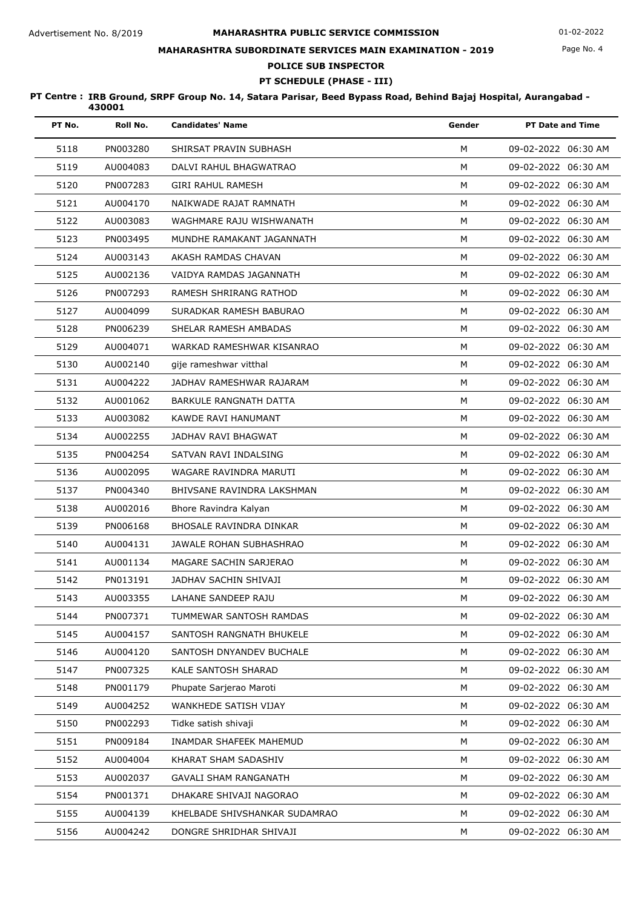## **MAHARASHTRA SUBORDINATE SERVICES MAIN EXAMINATION - 2019**

# **POLICE SUB INSPECTOR**

**PT SCHEDULE (PHASE - III)**

| PT No. | Roll No. | <b>Candidates' Name</b>       | Gender | <b>PT Date and Time</b> |
|--------|----------|-------------------------------|--------|-------------------------|
| 5118   | PN003280 | SHIRSAT PRAVIN SUBHASH        | M      | 09-02-2022 06:30 AM     |
| 5119   | AU004083 | DALVI RAHUL BHAGWATRAO        | M      | 09-02-2022 06:30 AM     |
| 5120   | PN007283 | <b>GIRI RAHUL RAMESH</b>      | M      | 09-02-2022 06:30 AM     |
| 5121   | AU004170 | NAIKWADE RAJAT RAMNATH        | М      | 09-02-2022 06:30 AM     |
| 5122   | AU003083 | WAGHMARE RAJU WISHWANATH      | M      | 09-02-2022 06:30 AM     |
| 5123   | PN003495 | MUNDHE RAMAKANT JAGANNATH     | M      | 09-02-2022 06:30 AM     |
| 5124   | AU003143 | AKASH RAMDAS CHAVAN           | M      | 09-02-2022 06:30 AM     |
| 5125   | AU002136 | VAIDYA RAMDAS JAGANNATH       | M      | 09-02-2022 06:30 AM     |
| 5126   | PN007293 | RAMESH SHRIRANG RATHOD        | M      | 09-02-2022 06:30 AM     |
| 5127   | AU004099 | SURADKAR RAMESH BABURAO       | M      | 09-02-2022 06:30 AM     |
| 5128   | PN006239 | SHELAR RAMESH AMBADAS         | M      | 09-02-2022 06:30 AM     |
| 5129   | AU004071 | WARKAD RAMESHWAR KISANRAO     | M      | 09-02-2022 06:30 AM     |
| 5130   | AU002140 | gije rameshwar vitthal        | M      | 09-02-2022 06:30 AM     |
| 5131   | AU004222 | JADHAV RAMESHWAR RAJARAM      | M      | 09-02-2022 06:30 AM     |
| 5132   | AU001062 | BARKULE RANGNATH DATTA        | M      | 09-02-2022 06:30 AM     |
| 5133   | AU003082 | KAWDE RAVI HANUMANT           | M      | 09-02-2022 06:30 AM     |
| 5134   | AU002255 | JADHAV RAVI BHAGWAT           | M      | 09-02-2022 06:30 AM     |
| 5135   | PN004254 | SATVAN RAVI INDALSING         | M      | 09-02-2022 06:30 AM     |
| 5136   | AU002095 | WAGARE RAVINDRA MARUTI        | M      | 09-02-2022 06:30 AM     |
| 5137   | PN004340 | BHIVSANE RAVINDRA LAKSHMAN    | M      | 09-02-2022 06:30 AM     |
| 5138   | AU002016 | Bhore Ravindra Kalyan         | M      | 09-02-2022 06:30 AM     |
| 5139   | PN006168 | BHOSALE RAVINDRA DINKAR       | M      | 09-02-2022 06:30 AM     |
| 5140   | AU004131 | JAWALE ROHAN SUBHASHRAO       | M      | 09-02-2022 06:30 AM     |
| 5141   | AU001134 | MAGARE SACHIN SARJERAO        | M      | 09-02-2022 06:30 AM     |
| 5142   | PN013191 | JADHAV SACHIN SHIVAJI         | M      | 09-02-2022 06:30 AM     |
| 5143   | AU003355 | LAHANE SANDEEP RAJU           | м      | 09-02-2022 06:30 AM     |
| 5144   | PN007371 | TUMMEWAR SANTOSH RAMDAS       | M      | 09-02-2022 06:30 AM     |
| 5145   | AU004157 | SANTOSH RANGNATH BHUKELE      | М      | 09-02-2022 06:30 AM     |
| 5146   | AU004120 | SANTOSH DNYANDEV BUCHALE      | М      | 09-02-2022 06:30 AM     |
| 5147   | PN007325 | KALE SANTOSH SHARAD           | М      | 09-02-2022 06:30 AM     |
| 5148   | PN001179 | Phupate Sarjerao Maroti       | M      | 09-02-2022 06:30 AM     |
| 5149   | AU004252 | WANKHEDE SATISH VIJAY         | М      | 09-02-2022 06:30 AM     |
| 5150   | PN002293 | Tidke satish shivaji          | М      | 09-02-2022 06:30 AM     |
| 5151   | PN009184 | INAMDAR SHAFEEK MAHEMUD       | М      | 09-02-2022 06:30 AM     |
| 5152   | AU004004 | KHARAT SHAM SADASHIV          | м      | 09-02-2022 06:30 AM     |
| 5153   | AU002037 | <b>GAVALI SHAM RANGANATH</b>  | м      | 09-02-2022 06:30 AM     |
| 5154   | PN001371 | DHAKARE SHIVAJI NAGORAO       | М      | 09-02-2022 06:30 AM     |
| 5155   | AU004139 | KHELBADE SHIVSHANKAR SUDAMRAO | м      | 09-02-2022 06:30 AM     |
| 5156   | AU004242 | DONGRE SHRIDHAR SHIVAJI       | М      | 09-02-2022 06:30 AM     |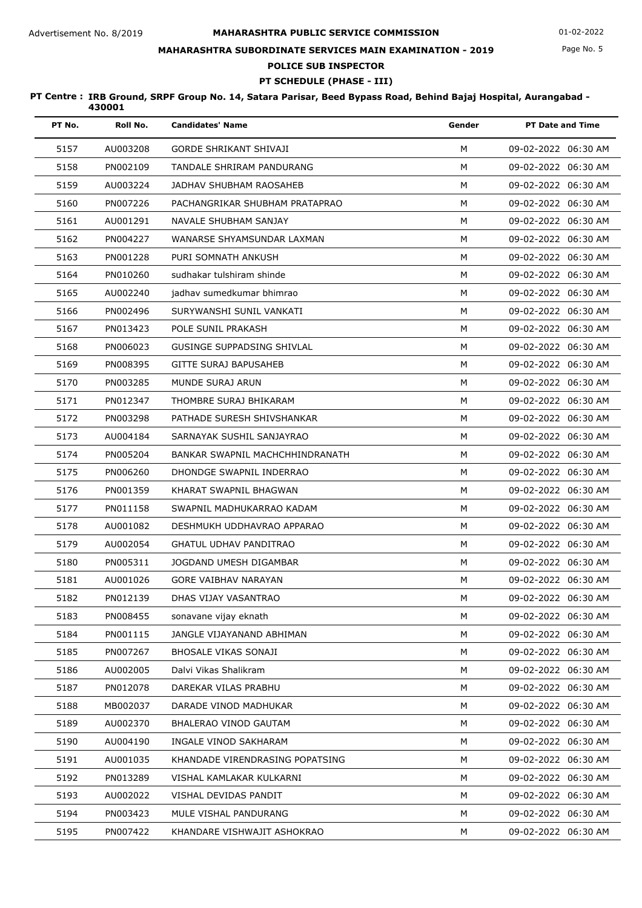## **MAHARASHTRA SUBORDINATE SERVICES MAIN EXAMINATION - 2019**

**POLICE SUB INSPECTOR**

# **PT SCHEDULE (PHASE - III)**

| PT No. | Roll No. | <b>Candidates' Name</b>           | Gender | <b>PT Date and Time</b> |
|--------|----------|-----------------------------------|--------|-------------------------|
| 5157   | AU003208 | <b>GORDE SHRIKANT SHIVAJI</b>     | м      | 09-02-2022 06:30 AM     |
| 5158   | PN002109 | TANDALE SHRIRAM PANDURANG         | M      | 09-02-2022 06:30 AM     |
| 5159   | AU003224 | JADHAV SHUBHAM RAOSAHEB           | M      | 09-02-2022 06:30 AM     |
| 5160   | PN007226 | PACHANGRIKAR SHUBHAM PRATAPRAO    | M      | 09-02-2022 06:30 AM     |
| 5161   | AU001291 | NAVALE SHUBHAM SANJAY             | M      | 09-02-2022 06:30 AM     |
| 5162   | PN004227 | WANARSE SHYAMSUNDAR LAXMAN        | м      | 09-02-2022 06:30 AM     |
| 5163   | PN001228 | PURI SOMNATH ANKUSH               | M      | 09-02-2022 06:30 AM     |
| 5164   | PN010260 | sudhakar tulshiram shinde         | M      | 09-02-2022 06:30 AM     |
| 5165   | AU002240 | jadhav sumedkumar bhimrao         | M      | 09-02-2022 06:30 AM     |
| 5166   | PN002496 | SURYWANSHI SUNIL VANKATI          | M      | 09-02-2022 06:30 AM     |
| 5167   | PN013423 | POLE SUNIL PRAKASH                | M      | 09-02-2022 06:30 AM     |
| 5168   | PN006023 | <b>GUSINGE SUPPADSING SHIVLAL</b> | M      | 09-02-2022 06:30 AM     |
| 5169   | PN008395 | <b>GITTE SURAJ BAPUSAHEB</b>      | M      | 09-02-2022 06:30 AM     |
| 5170   | PN003285 | MUNDE SURAJ ARUN                  | M      | 09-02-2022 06:30 AM     |
| 5171   | PN012347 | THOMBRE SURAJ BHIKARAM            | M      | 09-02-2022 06:30 AM     |
| 5172   | PN003298 | PATHADE SURESH SHIVSHANKAR        | M      | 09-02-2022 06:30 AM     |
| 5173   | AU004184 | SARNAYAK SUSHIL SANJAYRAO         | M      | 09-02-2022 06:30 AM     |
| 5174   | PN005204 | BANKAR SWAPNIL MACHCHHINDRANATH   | M      | 09-02-2022 06:30 AM     |
| 5175   | PN006260 | DHONDGE SWAPNIL INDERRAO          | M      | 09-02-2022 06:30 AM     |
| 5176   | PN001359 | KHARAT SWAPNIL BHAGWAN            | M      | 09-02-2022 06:30 AM     |
| 5177   | PN011158 | SWAPNIL MADHUKARRAO KADAM         | M      | 09-02-2022 06:30 AM     |
| 5178   | AU001082 | DESHMUKH UDDHAVRAO APPARAO        | M      | 09-02-2022 06:30 AM     |
| 5179   | AU002054 | <b>GHATUL UDHAV PANDITRAO</b>     | M      | 09-02-2022 06:30 AM     |
| 5180   | PN005311 | JOGDAND UMESH DIGAMBAR            | м      | 09-02-2022 06:30 AM     |
| 5181   | AU001026 | <b>GORE VAIBHAV NARAYAN</b>       | M      | 09-02-2022 06:30 AM     |
| 5182   | PN012139 | DHAS VIJAY VASANTRAO              | М      | 09-02-2022 06:30 AM     |
| 5183   | PN008455 | sonavane vijay eknath             | M      | 09-02-2022 06:30 AM     |
| 5184   | PN001115 | JANGLE VIJAYANAND ABHIMAN         | м      | 09-02-2022 06:30 AM     |
| 5185   | PN007267 | BHOSALE VIKAS SONAJI              | М      | 09-02-2022 06:30 AM     |
| 5186   | AU002005 | Dalvi Vikas Shalikram             | М      | 09-02-2022 06:30 AM     |
| 5187   | PN012078 | DAREKAR VILAS PRABHU              | М      | 09-02-2022 06:30 AM     |
| 5188   | MB002037 | DARADE VINOD MADHUKAR             | М      | 09-02-2022 06:30 AM     |
| 5189   | AU002370 | BHALERAO VINOD GAUTAM             | м      | 09-02-2022 06:30 AM     |
| 5190   | AU004190 | INGALE VINOD SAKHARAM             | М      | 09-02-2022 06:30 AM     |
| 5191   | AU001035 | KHANDADE VIRENDRASING POPATSING   | М      | 09-02-2022 06:30 AM     |
| 5192   | PN013289 | VISHAL KAMLAKAR KULKARNI          | M      | 09-02-2022 06:30 AM     |
| 5193   | AU002022 | VISHAL DEVIDAS PANDIT             | М      | 09-02-2022 06:30 AM     |
| 5194   | PN003423 | MULE VISHAL PANDURANG             | м      | 09-02-2022 06:30 AM     |
| 5195   | PN007422 | KHANDARE VISHWAJIT ASHOKRAO       | М      | 09-02-2022 06:30 AM     |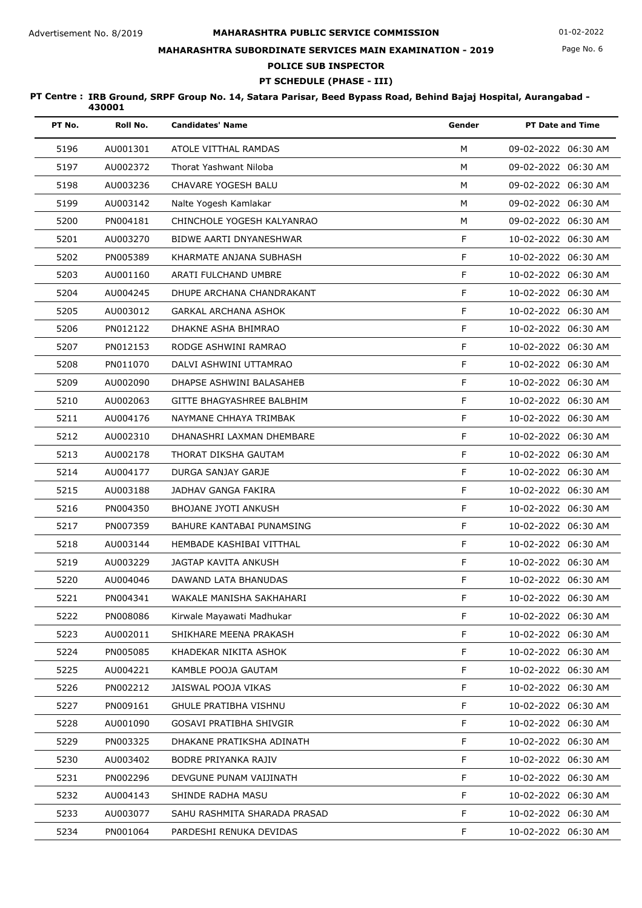## **MAHARASHTRA SUBORDINATE SERVICES MAIN EXAMINATION - 2019**

# **POLICE SUB INSPECTOR**

**PT SCHEDULE (PHASE - III)**

| PT No. | Roll No. | <b>Candidates' Name</b>      | Gender | <b>PT Date and Time</b> |
|--------|----------|------------------------------|--------|-------------------------|
| 5196   | AU001301 | ATOLE VITTHAL RAMDAS         | M      | 09-02-2022 06:30 AM     |
| 5197   | AU002372 | Thorat Yashwant Niloba       | M      | 09-02-2022 06:30 AM     |
| 5198   | AU003236 | CHAVARE YOGESH BALU          | M      | 09-02-2022 06:30 AM     |
| 5199   | AU003142 | Nalte Yogesh Kamlakar        | M      | 09-02-2022 06:30 AM     |
| 5200   | PN004181 | CHINCHOLE YOGESH KALYANRAO   | M      | 09-02-2022 06:30 AM     |
| 5201   | AU003270 | BIDWE AARTI DNYANESHWAR      | F      | 10-02-2022 06:30 AM     |
| 5202   | PN005389 | KHARMATE ANJANA SUBHASH      | F.     | 10-02-2022 06:30 AM     |
| 5203   | AU001160 | ARATI FULCHAND UMBRE         | F      | 10-02-2022 06:30 AM     |
| 5204   | AU004245 | DHUPE ARCHANA CHANDRAKANT    | F      | 10-02-2022 06:30 AM     |
| 5205   | AU003012 | GARKAL ARCHANA ASHOK         | F      | 10-02-2022 06:30 AM     |
| 5206   | PN012122 | DHAKNE ASHA BHIMRAO          | F      | 10-02-2022 06:30 AM     |
| 5207   | PN012153 | RODGE ASHWINI RAMRAO         | F      | 10-02-2022 06:30 AM     |
| 5208   | PN011070 | DALVI ASHWINI UTTAMRAO       | F      | 10-02-2022 06:30 AM     |
| 5209   | AU002090 | DHAPSE ASHWINI BALASAHEB     | F      | 10-02-2022 06:30 AM     |
| 5210   | AU002063 | GITTE BHAGYASHREE BALBHIM    | F      | 10-02-2022 06:30 AM     |
| 5211   | AU004176 | NAYMANE CHHAYA TRIMBAK       | F      | 10-02-2022 06:30 AM     |
| 5212   | AU002310 | DHANASHRI LAXMAN DHEMBARE    | F      | 10-02-2022 06:30 AM     |
| 5213   | AU002178 | THORAT DIKSHA GAUTAM         | F      | 10-02-2022 06:30 AM     |
| 5214   | AU004177 | DURGA SANJAY GARJE           | F      | 10-02-2022 06:30 AM     |
| 5215   | AU003188 | JADHAV GANGA FAKIRA          | F      | 10-02-2022 06:30 AM     |
| 5216   | PN004350 | <b>BHOJANE JYOTI ANKUSH</b>  | F      | 10-02-2022 06:30 AM     |
| 5217   | PN007359 | BAHURE KANTABAI PUNAMSING    | F      | 10-02-2022 06:30 AM     |
| 5218   | AU003144 | HEMBADE KASHIBAI VITTHAL     | F      | 10-02-2022 06:30 AM     |
| 5219   | AU003229 | <b>JAGTAP KAVITA ANKUSH</b>  | F      | 10-02-2022 06:30 AM     |
| 5220   | AU004046 | DAWAND LATA BHANUDAS         | F      | 10-02-2022 06:30 AM     |
| 5221   | PN004341 | WAKALE MANISHA SAKHAHARI     | F.     | 10-02-2022 06:30 AM     |
| 5222   | PN008086 | Kirwale Mayawati Madhukar    | F.     | 10-02-2022 06:30 AM     |
| 5223   | AU002011 | SHIKHARE MEENA PRAKASH       | F      | 10-02-2022 06:30 AM     |
| 5224   | PN005085 | KHADEKAR NIKITA ASHOK        | F      | 10-02-2022 06:30 AM     |
| 5225   | AU004221 | KAMBLE POOJA GAUTAM          | F      | 10-02-2022 06:30 AM     |
| 5226   | PN002212 | JAISWAL POOJA VIKAS          | F      | 10-02-2022 06:30 AM     |
| 5227   | PN009161 | <b>GHULE PRATIBHA VISHNU</b> | F      | 10-02-2022 06:30 AM     |
| 5228   | AU001090 | GOSAVI PRATIBHA SHIVGIR      | F      | 10-02-2022 06:30 AM     |
| 5229   | PN003325 | DHAKANE PRATIKSHA ADINATH    | F.     | 10-02-2022 06:30 AM     |
| 5230   | AU003402 | BODRE PRIYANKA RAJIV         | F      | 10-02-2022 06:30 AM     |
| 5231   | PN002296 | DEVGUNE PUNAM VAIJINATH      | F.     | 10-02-2022 06:30 AM     |
| 5232   | AU004143 | SHINDE RADHA MASU            | F      | 10-02-2022 06:30 AM     |
| 5233   | AU003077 | SAHU RASHMITA SHARADA PRASAD | F.     | 10-02-2022 06:30 AM     |
| 5234   | PN001064 | PARDESHI RENUKA DEVIDAS      | F      | 10-02-2022 06:30 AM     |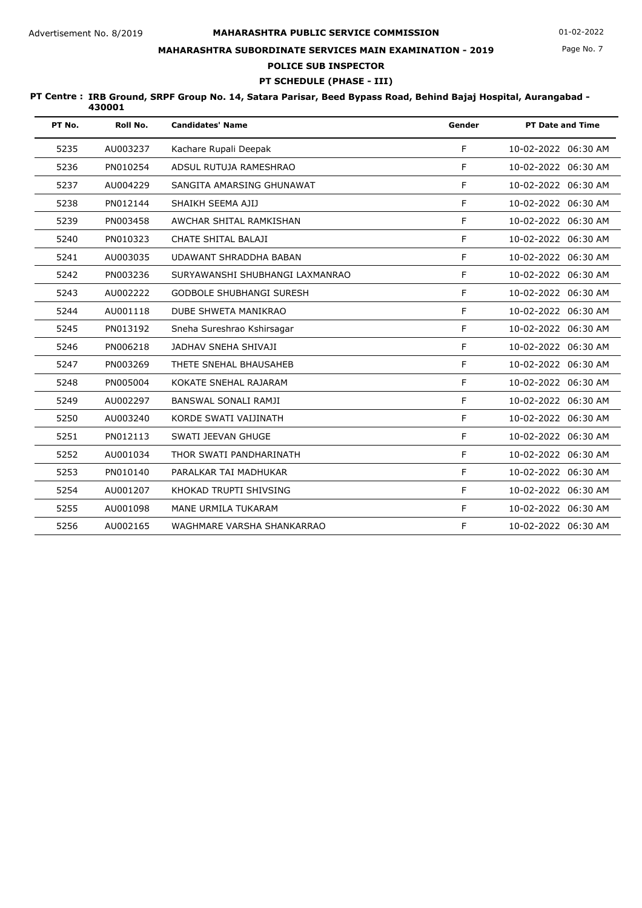## **MAHARASHTRA SUBORDINATE SERVICES MAIN EXAMINATION - 2019**

**POLICE SUB INSPECTOR**

# **PT SCHEDULE (PHASE - III)**

| PT No. | Roll No. | <b>Candidates' Name</b>         | Gender | <b>PT Date and Time</b> |
|--------|----------|---------------------------------|--------|-------------------------|
| 5235   | AU003237 | Kachare Rupali Deepak           | F      | 10-02-2022 06:30 AM     |
| 5236   | PN010254 | ADSUL RUTUJA RAMESHRAO          | F      | 10-02-2022 06:30 AM     |
| 5237   | AU004229 | SANGITA AMARSING GHUNAWAT       | F      | 10-02-2022 06:30 AM     |
| 5238   | PN012144 | SHAIKH SEEMA AJIJ               | F      | 10-02-2022 06:30 AM     |
| 5239   | PN003458 | AWCHAR SHITAL RAMKISHAN         | F      | 10-02-2022 06:30 AM     |
| 5240   | PN010323 | CHATE SHITAL BALAJI             | F      | 10-02-2022 06:30 AM     |
| 5241   | AU003035 | <b>UDAWANT SHRADDHA BABAN</b>   | F      | 10-02-2022 06:30 AM     |
| 5242   | PN003236 | SURYAWANSHI SHUBHANGI LAXMANRAO | F      | 10-02-2022 06:30 AM     |
| 5243   | AU002222 | <b>GODBOLE SHUBHANGI SURESH</b> | F      | 10-02-2022 06:30 AM     |
| 5244   | AU001118 | DUBE SHWETA MANIKRAO            | F      | 10-02-2022 06:30 AM     |
| 5245   | PN013192 | Sneha Sureshrao Kshirsagar      | F      | 10-02-2022 06:30 AM     |
| 5246   | PN006218 | JADHAV SNEHA SHIVAJI            | F      | 10-02-2022 06:30 AM     |
| 5247   | PN003269 | THETE SNEHAL BHAUSAHEB          | F      | 10-02-2022 06:30 AM     |
| 5248   | PN005004 | KOKATE SNEHAL RAJARAM           | F      | 10-02-2022 06:30 AM     |
| 5249   | AU002297 | BANSWAL SONALI RAMJI            | F      | 10-02-2022 06:30 AM     |
| 5250   | AU003240 | KORDE SWATI VAIJINATH           | F      | 10-02-2022 06:30 AM     |
| 5251   | PN012113 | SWATI JEEVAN GHUGE              | F      | 10-02-2022 06:30 AM     |
| 5252   | AU001034 | THOR SWATI PANDHARINATH         | F      | 10-02-2022 06:30 AM     |
| 5253   | PN010140 | PARALKAR TAI MADHUKAR           | F      | 10-02-2022 06:30 AM     |
| 5254   | AU001207 | KHOKAD TRUPTI SHIVSING          | F      | 10-02-2022 06:30 AM     |
| 5255   | AU001098 | MANE URMILA TUKARAM             | F      | 10-02-2022 06:30 AM     |
| 5256   | AU002165 | WAGHMARE VARSHA SHANKARRAO      | F      | 10-02-2022 06:30 AM     |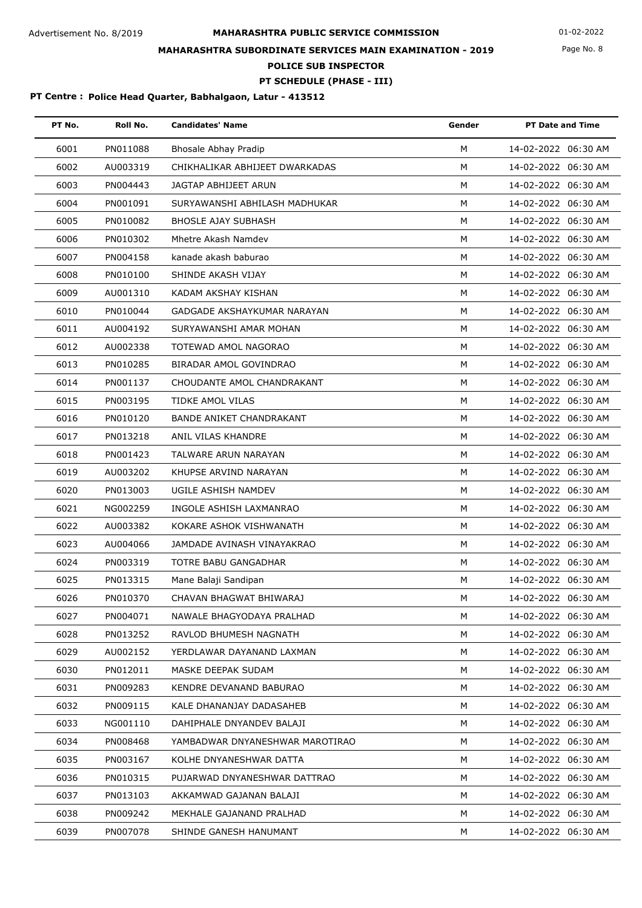Page No. 8

# **MAHARASHTRA SUBORDINATE SERVICES MAIN EXAMINATION - 2019**

**POLICE SUB INSPECTOR**

**PT SCHEDULE (PHASE - III)**

| PT No. | Roll No. | <b>Candidates' Name</b>         | Gender | <b>PT Date and Time</b> |
|--------|----------|---------------------------------|--------|-------------------------|
| 6001   | PN011088 | Bhosale Abhay Pradip            | M      | 14-02-2022 06:30 AM     |
| 6002   | AU003319 | CHIKHALIKAR ABHIJEET DWARKADAS  | M      | 14-02-2022 06:30 AM     |
| 6003   | PN004443 | JAGTAP ABHIJEET ARUN            | M      | 14-02-2022 06:30 AM     |
| 6004   | PN001091 | SURYAWANSHI ABHILASH MADHUKAR   | M      | 14-02-2022 06:30 AM     |
| 6005   | PN010082 | <b>BHOSLE AJAY SUBHASH</b>      | M      | 14-02-2022 06:30 AM     |
| 6006   | PN010302 | Mhetre Akash Namdev             | M      | 14-02-2022 06:30 AM     |
| 6007   | PN004158 | kanade akash baburao            | M      | 14-02-2022 06:30 AM     |
| 6008   | PN010100 | SHINDE AKASH VIJAY              | M      | 14-02-2022 06:30 AM     |
| 6009   | AU001310 | KADAM AKSHAY KISHAN             | M      | 14-02-2022 06:30 AM     |
| 6010   | PN010044 | GADGADE AKSHAYKUMAR NARAYAN     | M      | 14-02-2022 06:30 AM     |
| 6011   | AU004192 | SURYAWANSHI AMAR MOHAN          | M      | 14-02-2022 06:30 AM     |
| 6012   | AU002338 | TOTEWAD AMOL NAGORAO            | M      | 14-02-2022 06:30 AM     |
| 6013   | PN010285 | BIRADAR AMOL GOVINDRAO          | M      | 14-02-2022 06:30 AM     |
| 6014   | PN001137 | CHOUDANTE AMOL CHANDRAKANT      | M      | 14-02-2022 06:30 AM     |
| 6015   | PN003195 | TIDKE AMOL VILAS                | M      | 14-02-2022 06:30 AM     |
| 6016   | PN010120 | <b>BANDE ANIKET CHANDRAKANT</b> | M      | 14-02-2022 06:30 AM     |
| 6017   | PN013218 | ANIL VILAS KHANDRE              | М      | 14-02-2022 06:30 AM     |
| 6018   | PN001423 | TALWARE ARUN NARAYAN            | M      | 14-02-2022 06:30 AM     |
| 6019   | AU003202 | KHUPSE ARVIND NARAYAN           | M      | 14-02-2022 06:30 AM     |
| 6020   | PN013003 | UGILE ASHISH NAMDEV             | M      | 14-02-2022 06:30 AM     |
| 6021   | NG002259 | INGOLE ASHISH LAXMANRAO         | M      | 14-02-2022 06:30 AM     |
| 6022   | AU003382 | KOKARE ASHOK VISHWANATH         | м      | 14-02-2022 06:30 AM     |
| 6023   | AU004066 | JAMDADE AVINASH VINAYAKRAO      | M      | 14-02-2022 06:30 AM     |
| 6024   | PN003319 | TOTRE BABU GANGADHAR            | M      | 14-02-2022 06:30 AM     |
| 6025   | PN013315 | Mane Balaji Sandipan            | M      | 14-02-2022 06:30 AM     |
| 6026   | PN010370 | CHAVAN BHAGWAT BHIWARAJ         | М      | 14-02-2022 06:30 AM     |
| 6027   | PN004071 | NAWALE BHAGYODAYA PRALHAD       | M      | 14-02-2022 06:30 AM     |
| 6028   | PN013252 | RAVLOD BHUMESH NAGNATH          | м      | 14-02-2022 06:30 AM     |
| 6029   | AU002152 | YERDLAWAR DAYANAND LAXMAN       | M      | 14-02-2022 06:30 AM     |
| 6030   | PN012011 | MASKE DEEPAK SUDAM              | м      | 14-02-2022 06:30 AM     |
| 6031   | PN009283 | KENDRE DEVANAND BABURAO         | м      | 14-02-2022 06:30 AM     |
| 6032   | PN009115 | KALE DHANANJAY DADASAHEB        | M      | 14-02-2022 06:30 AM     |
| 6033   | NG001110 | DAHIPHALE DNYANDEV BALAJI       | M      | 14-02-2022 06:30 AM     |
| 6034   | PN008468 | YAMBADWAR DNYANESHWAR MAROTIRAO | M      | 14-02-2022 06:30 AM     |
| 6035   | PN003167 | KOLHE DNYANESHWAR DATTA         | м      | 14-02-2022 06:30 AM     |
| 6036   | PN010315 | PUJARWAD DNYANESHWAR DATTRAO    | М      | 14-02-2022 06:30 AM     |
| 6037   | PN013103 | AKKAMWAD GAJANAN BALAJI         | м      | 14-02-2022 06:30 AM     |
| 6038   | PN009242 | MEKHALE GAJANAND PRALHAD        | м      | 14-02-2022 06:30 AM     |
| 6039   | PN007078 | SHINDE GANESH HANUMANT          | M      | 14-02-2022 06:30 AM     |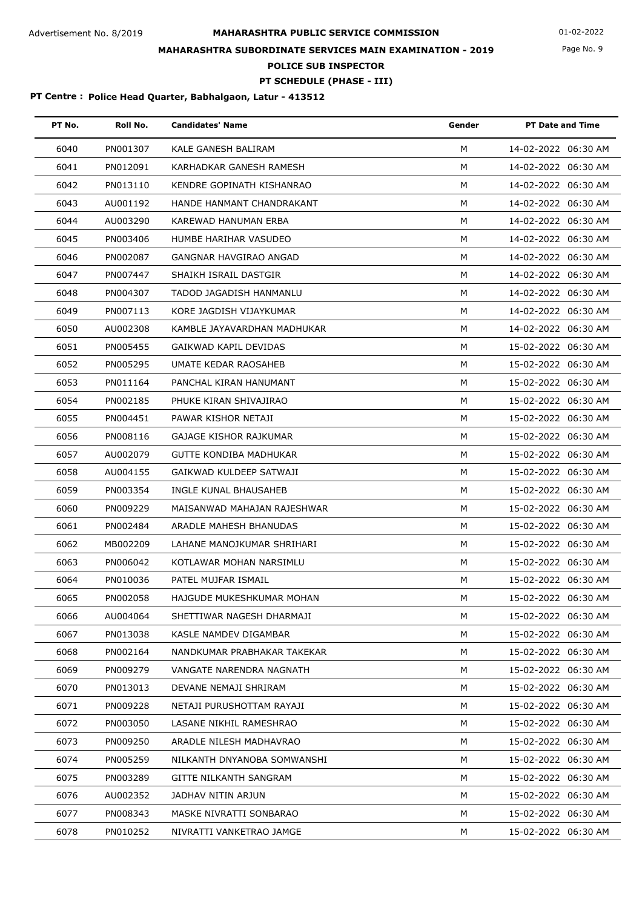Page No. 9

# **MAHARASHTRA SUBORDINATE SERVICES MAIN EXAMINATION - 2019**

**POLICE SUB INSPECTOR**

# **PT SCHEDULE (PHASE - III)**

| PT No. | Roll No. | <b>Candidates' Name</b>       | Gender | <b>PT Date and Time</b> |
|--------|----------|-------------------------------|--------|-------------------------|
| 6040   | PN001307 | KALE GANESH BALIRAM           | M      | 14-02-2022 06:30 AM     |
| 6041   | PN012091 | KARHADKAR GANESH RAMESH       | M      | 14-02-2022 06:30 AM     |
| 6042   | PN013110 | KENDRE GOPINATH KISHANRAO     | м      | 14-02-2022 06:30 AM     |
| 6043   | AU001192 | HANDE HANMANT CHANDRAKANT     | M      | 14-02-2022 06:30 AM     |
| 6044   | AU003290 | KAREWAD HANUMAN ERBA          | м      | 14-02-2022 06:30 AM     |
| 6045   | PN003406 | HUMBE HARIHAR VASUDEO         | M      | 14-02-2022 06:30 AM     |
| 6046   | PN002087 | <b>GANGNAR HAVGIRAO ANGAD</b> | М      | 14-02-2022 06:30 AM     |
| 6047   | PN007447 | SHAIKH ISRAIL DASTGIR         | м      | 14-02-2022 06:30 AM     |
| 6048   | PN004307 | TADOD JAGADISH HANMANLU       | М      | 14-02-2022 06:30 AM     |
| 6049   | PN007113 | KORE JAGDISH VIJAYKUMAR       | M      | 14-02-2022 06:30 AM     |
| 6050   | AU002308 | KAMBLE JAYAVARDHAN MADHUKAR   | М      | 14-02-2022 06:30 AM     |
| 6051   | PN005455 | GAIKWAD KAPIL DEVIDAS         | м      | 15-02-2022 06:30 AM     |
| 6052   | PN005295 | UMATE KEDAR RAOSAHEB          | M      | 15-02-2022 06:30 AM     |
| 6053   | PN011164 | PANCHAL KIRAN HANUMANT        | M      | 15-02-2022 06:30 AM     |
| 6054   | PN002185 | PHUKE KIRAN SHIVAJIRAO        | M      | 15-02-2022 06:30 AM     |
| 6055   | PN004451 | PAWAR KISHOR NETAJI           | М      | 15-02-2022 06:30 AM     |
| 6056   | PN008116 | GAJAGE KISHOR RAJKUMAR        | М      | 15-02-2022 06:30 AM     |
| 6057   | AU002079 | GUTTE KONDIBA MADHUKAR        | M      | 15-02-2022 06:30 AM     |
| 6058   | AU004155 | GAIKWAD KULDEEP SATWAJI       | M      | 15-02-2022 06:30 AM     |
| 6059   | PN003354 | INGLE KUNAL BHAUSAHEB         | M      | 15-02-2022 06:30 AM     |
| 6060   | PN009229 | MAISANWAD MAHAJAN RAJESHWAR   | M      | 15-02-2022 06:30 AM     |
| 6061   | PN002484 | ARADLE MAHESH BHANUDAS        | М      | 15-02-2022 06:30 AM     |
| 6062   | MB002209 | LAHANE MANOJKUMAR SHRIHARI    | M      | 15-02-2022 06:30 AM     |
| 6063   | PN006042 | KOTLAWAR MOHAN NARSIMLU       | M      | 15-02-2022 06:30 AM     |
| 6064   | PN010036 | PATEL MUJFAR ISMAIL           | м      | 15-02-2022 06:30 AM     |
| 6065   | PN002058 | HAJGUDE MUKESHKUMAR MOHAN     | М      | 15-02-2022 06:30 AM     |
| 6066   | AU004064 | SHETTIWAR NAGESH DHARMAJI     | М      | 15-02-2022 06:30 AM     |
| 6067   | PN013038 | KASLE NAMDEV DIGAMBAR         | M      | 15-02-2022 06:30 AM     |
| 6068   | PN002164 | NANDKUMAR PRABHAKAR TAKEKAR   | м      | 15-02-2022 06:30 AM     |
| 6069   | PN009279 | VANGATE NARENDRA NAGNATH      | M      | 15-02-2022 06:30 AM     |
| 6070   | PN013013 | DEVANE NEMAJI SHRIRAM         | м      | 15-02-2022 06:30 AM     |
| 6071   | PN009228 | NETAJI PURUSHOTTAM RAYAJI     | М      | 15-02-2022 06:30 AM     |
| 6072   | PN003050 | LASANE NIKHIL RAMESHRAO       | М      | 15-02-2022 06:30 AM     |
| 6073   | PN009250 | ARADLE NILESH MADHAVRAO       | м      | 15-02-2022 06:30 AM     |
| 6074   | PN005259 | NILKANTH DNYANOBA SOMWANSHI   | м      | 15-02-2022 06:30 AM     |
| 6075   | PN003289 | GITTE NILKANTH SANGRAM        | м      | 15-02-2022 06:30 AM     |
| 6076   | AU002352 | JADHAV NITIN ARJUN            | M      | 15-02-2022 06:30 AM     |
| 6077   | PN008343 | MASKE NIVRATTI SONBARAO       | м      | 15-02-2022 06:30 AM     |
| 6078   | PN010252 | NIVRATTI VANKETRAO JAMGE      | м      | 15-02-2022 06:30 AM     |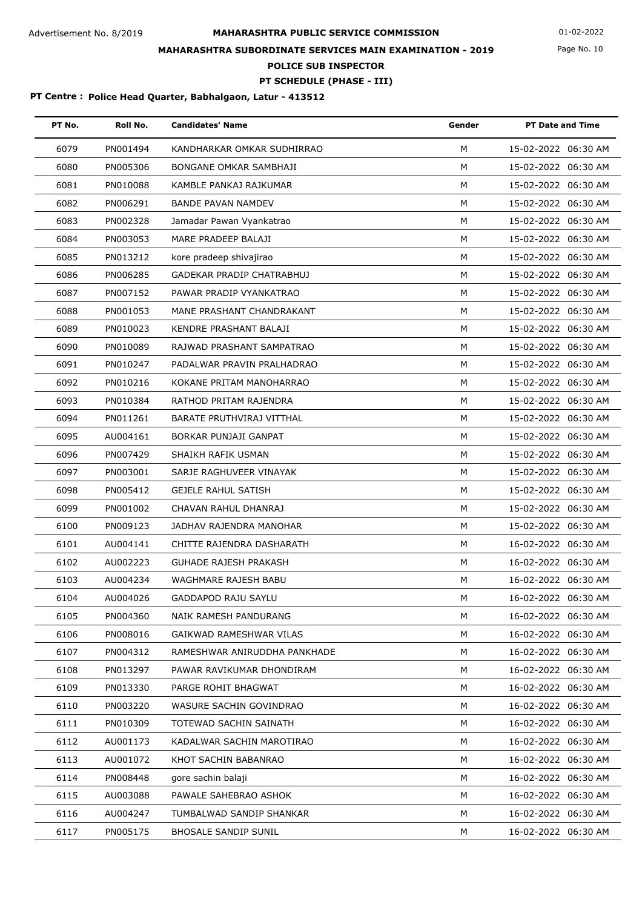Page No. 10

# **MAHARASHTRA SUBORDINATE SERVICES MAIN EXAMINATION - 2019**

**POLICE SUB INSPECTOR**

# **PT SCHEDULE (PHASE - III)**

| PT No. | Roll No. | <b>Candidates' Name</b>          | Gender | PT Date and Time    |
|--------|----------|----------------------------------|--------|---------------------|
| 6079   | PN001494 | KANDHARKAR OMKAR SUDHIRRAO       | M      | 15-02-2022 06:30 AM |
| 6080   | PN005306 | BONGANE OMKAR SAMBHAJI           | M      | 15-02-2022 06:30 AM |
| 6081   | PN010088 | KAMBLE PANKAJ RAJKUMAR           | M      | 15-02-2022 06:30 AM |
| 6082   | PN006291 | <b>BANDE PAVAN NAMDEV</b>        | M      | 15-02-2022 06:30 AM |
| 6083   | PN002328 | Jamadar Pawan Vyankatrao         | M      | 15-02-2022 06:30 AM |
| 6084   | PN003053 | MARE PRADEEP BALAJI              | M      | 15-02-2022 06:30 AM |
| 6085   | PN013212 | kore pradeep shivajirao          | M      | 15-02-2022 06:30 AM |
| 6086   | PN006285 | <b>GADEKAR PRADIP CHATRABHUJ</b> | M      | 15-02-2022 06:30 AM |
| 6087   | PN007152 | PAWAR PRADIP VYANKATRAO          | M      | 15-02-2022 06:30 AM |
| 6088   | PN001053 | MANE PRASHANT CHANDRAKANT        | M      | 15-02-2022 06:30 AM |
| 6089   | PN010023 | KENDRE PRASHANT BALAJI           | M      | 15-02-2022 06:30 AM |
| 6090   | PN010089 | RAJWAD PRASHANT SAMPATRAO        | M      | 15-02-2022 06:30 AM |
| 6091   | PN010247 | PADALWAR PRAVIN PRALHADRAO       | M      | 15-02-2022 06:30 AM |
| 6092   | PN010216 | KOKANE PRITAM MANOHARRAO         | M      | 15-02-2022 06:30 AM |
| 6093   | PN010384 | RATHOD PRITAM RAJENDRA           | M      | 15-02-2022 06:30 AM |
| 6094   | PN011261 | BARATE PRUTHVIRAJ VITTHAL        | M      | 15-02-2022 06:30 AM |
| 6095   | AU004161 | BORKAR PUNJAJI GANPAT            | M      | 15-02-2022 06:30 AM |
| 6096   | PN007429 | SHAIKH RAFIK USMAN               | M      | 15-02-2022 06:30 AM |
| 6097   | PN003001 | SARJE RAGHUVEER VINAYAK          | M      | 15-02-2022 06:30 AM |
| 6098   | PN005412 | <b>GEJELE RAHUL SATISH</b>       | M      | 15-02-2022 06:30 AM |
| 6099   | PN001002 | CHAVAN RAHUL DHANRAJ             | M      | 15-02-2022 06:30 AM |
| 6100   | PN009123 | JADHAV RAJENDRA MANOHAR          | М      | 15-02-2022 06:30 AM |
| 6101   | AU004141 | CHITTE RAJENDRA DASHARATH        | M      | 16-02-2022 06:30 AM |
| 6102   | AU002223 | <b>GUHADE RAJESH PRAKASH</b>     | M      | 16-02-2022 06:30 AM |
| 6103   | AU004234 | WAGHMARE RAJESH BABU             | M      | 16-02-2022 06:30 AM |
| 6104   | AU004026 | GADDAPOD RAJU SAYLU              | м      | 16-02-2022 06:30 AM |
| 6105   | PN004360 | NAIK RAMESH PANDURANG            | м      | 16-02-2022 06:30 AM |
| 6106   | PN008016 | GAIKWAD RAMESHWAR VILAS          | M      | 16-02-2022 06:30 AM |
| 6107   | PN004312 | RAMESHWAR ANIRUDDHA PANKHADE     | м      | 16-02-2022 06:30 AM |
| 6108   | PN013297 | PAWAR RAVIKUMAR DHONDIRAM        | М      | 16-02-2022 06:30 AM |
| 6109   | PN013330 | PARGE ROHIT BHAGWAT              | м      | 16-02-2022 06:30 AM |
| 6110   | PN003220 | WASURE SACHIN GOVINDRAO          | м      | 16-02-2022 06:30 AM |
| 6111   | PN010309 | TOTEWAD SACHIN SAINATH           | м      | 16-02-2022 06:30 AM |
| 6112   | AU001173 | KADALWAR SACHIN MAROTIRAO        | М      | 16-02-2022 06:30 AM |
| 6113   | AU001072 | KHOT SACHIN BABANRAO             | м      | 16-02-2022 06:30 AM |
| 6114   | PN008448 | gore sachin balaji               | M      | 16-02-2022 06:30 AM |
| 6115   | AU003088 | PAWALE SAHEBRAO ASHOK            | М      | 16-02-2022 06:30 AM |
| 6116   | AU004247 | TUMBALWAD SANDIP SHANKAR         | м      | 16-02-2022 06:30 AM |
| 6117   | PN005175 | <b>BHOSALE SANDIP SUNIL</b>      | М      | 16-02-2022 06:30 AM |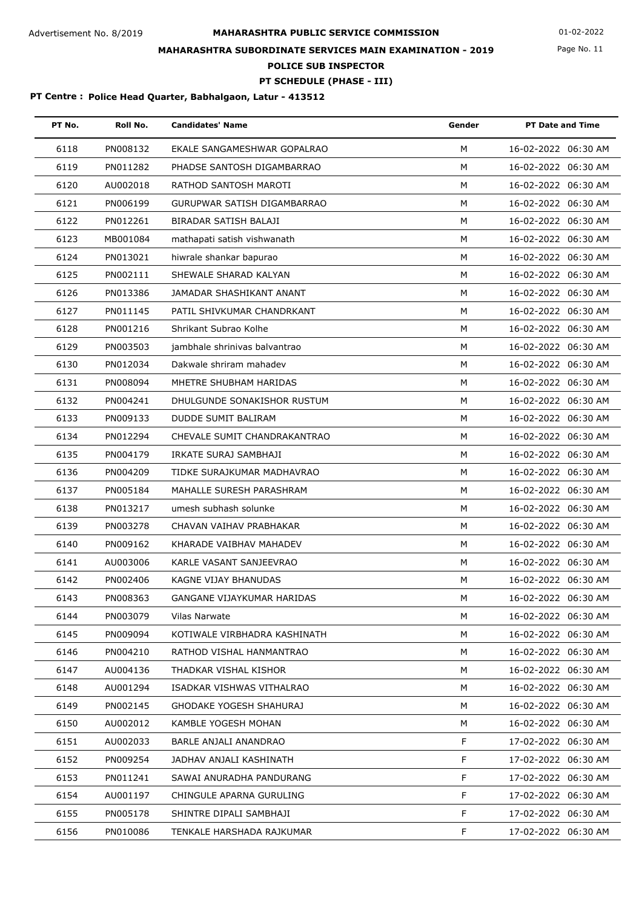Page No. 11

# **MAHARASHTRA SUBORDINATE SERVICES MAIN EXAMINATION - 2019**

**POLICE SUB INSPECTOR**

# **PT SCHEDULE (PHASE - III)**

| PT No. | Roll No. | <b>Candidates' Name</b>        | Gender | <b>PT Date and Time</b> |
|--------|----------|--------------------------------|--------|-------------------------|
| 6118   | PN008132 | EKALE SANGAMESHWAR GOPALRAO    | M      | 16-02-2022 06:30 AM     |
| 6119   | PN011282 | PHADSE SANTOSH DIGAMBARRAO     | M      | 16-02-2022 06:30 AM     |
| 6120   | AU002018 | RATHOD SANTOSH MAROTI          | M      | 16-02-2022 06:30 AM     |
| 6121   | PN006199 | GURUPWAR SATISH DIGAMBARRAO    | M      | 16-02-2022 06:30 AM     |
| 6122   | PN012261 | BIRADAR SATISH BALAJI          | M      | 16-02-2022 06:30 AM     |
| 6123   | MB001084 | mathapati satish vishwanath    | M      | 16-02-2022 06:30 AM     |
| 6124   | PN013021 | hiwrale shankar bapurao        | M      | 16-02-2022 06:30 AM     |
| 6125   | PN002111 | SHEWALE SHARAD KALYAN          | M      | 16-02-2022 06:30 AM     |
| 6126   | PN013386 | JAMADAR SHASHIKANT ANANT       | M      | 16-02-2022 06:30 AM     |
| 6127   | PN011145 | PATIL SHIVKUMAR CHANDRKANT     | M      | 16-02-2022 06:30 AM     |
| 6128   | PN001216 | Shrikant Subrao Kolhe          | M      | 16-02-2022 06:30 AM     |
| 6129   | PN003503 | jambhale shrinivas balvantrao  | M      | 16-02-2022 06:30 AM     |
| 6130   | PN012034 | Dakwale shriram mahadev        | M      | 16-02-2022 06:30 AM     |
| 6131   | PN008094 | MHETRE SHUBHAM HARIDAS         | M      | 16-02-2022 06:30 AM     |
| 6132   | PN004241 | DHULGUNDE SONAKISHOR RUSTUM    | M      | 16-02-2022 06:30 AM     |
| 6133   | PN009133 | <b>DUDDE SUMIT BALIRAM</b>     | M      | 16-02-2022 06:30 AM     |
| 6134   | PN012294 | CHEVALE SUMIT CHANDRAKANTRAO   | М      | 16-02-2022 06:30 AM     |
| 6135   | PN004179 | IRKATE SURAJ SAMBHAJI          | M      | 16-02-2022 06:30 AM     |
| 6136   | PN004209 | TIDKE SURAJKUMAR MADHAVRAO     | M      | 16-02-2022 06:30 AM     |
| 6137   | PN005184 | MAHALLE SURESH PARASHRAM       | M      | 16-02-2022 06:30 AM     |
| 6138   | PN013217 | umesh subhash solunke          | M      | 16-02-2022 06:30 AM     |
| 6139   | PN003278 | CHAVAN VAIHAV PRABHAKAR        | M      | 16-02-2022 06:30 AM     |
| 6140   | PN009162 | KHARADE VAIBHAV MAHADEV        | M      | 16-02-2022 06:30 AM     |
| 6141   | AU003006 | KARLE VASANT SANJEEVRAO        | M      | 16-02-2022 06:30 AM     |
| 6142   | PN002406 | KAGNE VIJAY BHANUDAS           | м      | 16-02-2022 06:30 AM     |
| 6143   | PN008363 | GANGANE VIJAYKUMAR HARIDAS     | М      | 16-02-2022 06:30 AM     |
| 6144   | PN003079 | Vilas Narwate                  | м      | 16-02-2022 06:30 AM     |
| 6145   | PN009094 | KOTIWALE VIRBHADRA KASHINATH   | М      | 16-02-2022 06:30 AM     |
| 6146   | PN004210 | RATHOD VISHAL HANMANTRAO       | м      | 16-02-2022 06:30 AM     |
| 6147   | AU004136 | THADKAR VISHAL KISHOR          | М      | 16-02-2022 06:30 AM     |
| 6148   | AU001294 | ISADKAR VISHWAS VITHALRAO      | М      | 16-02-2022 06:30 AM     |
| 6149   | PN002145 | <b>GHODAKE YOGESH SHAHURAJ</b> | М      | 16-02-2022 06:30 AM     |
| 6150   | AU002012 | KAMBLE YOGESH MOHAN            | М      | 16-02-2022 06:30 AM     |
| 6151   | AU002033 | BARLE ANJALI ANANDRAO          | F.     | 17-02-2022 06:30 AM     |
| 6152   | PN009254 | JADHAV ANJALI KASHINATH        | F      | 17-02-2022 06:30 AM     |
| 6153   | PN011241 | SAWAI ANURADHA PANDURANG       | F      | 17-02-2022 06:30 AM     |
| 6154   | AU001197 | CHINGULE APARNA GURULING       | F      | 17-02-2022 06:30 AM     |
| 6155   | PN005178 | SHINTRE DIPALI SAMBHAJI        | F.     | 17-02-2022 06:30 AM     |
| 6156   | PN010086 | TENKALE HARSHADA RAJKUMAR      | F      | 17-02-2022 06:30 AM     |